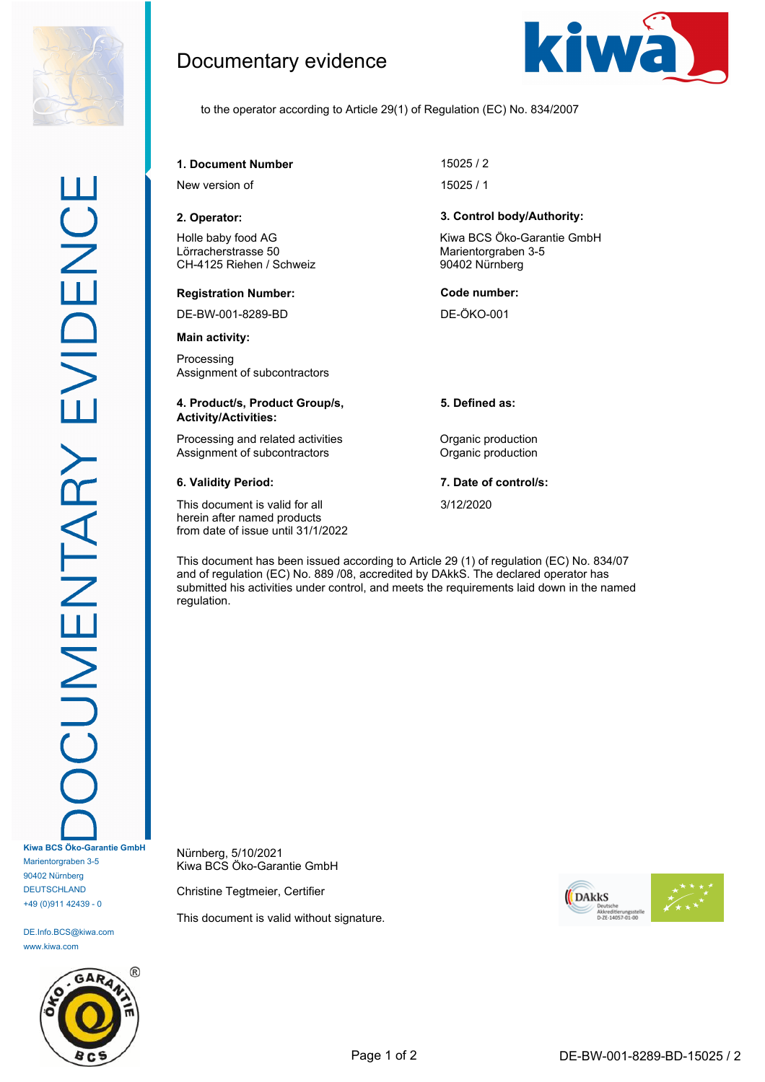

DE.Info.BCS@kiwa.com www.kiwa.com



Documentary evidence



to the operator according to Article 29(1) of Regulation (EC) No. 834/2007

**1. Document Number** 15025 / 2

New version of 15025 / 1

Holle baby food AG Lörracherstrasse 50 CH-4125 Riehen / Schweiz

#### **Registration Number: Code number:**

DE-BW-001-8289-BD DE-ÖKO-001

**Main activity:**

Processing Assignment of subcontractors

### **4. Product/s, Product Group/s, Activity/Activities:**

Processing and related activities **Constanting Construction** Assignment of subcontractors **Contractors** Organic production

This document is valid for all herein after named products from date of issue until 31/1/2022

## **2. Operator: 3. Control body/Authority:**

Kiwa BCS Öko-Garantie GmbH Marientorgraben 3-5 90402 Nürnberg

**5. Defined as:**

**6. Validity Period: 7. Date of control/s:**

3/12/2020

This document has been issued according to Article 29 (1) of regulation (EC) No. 834/07 and of regulation (EC) No. 889 /08, accredited by DAkkS. The declared operator has submitted his activities under control, and meets the requirements laid down in the named regulation.

Nürnberg, 5/10/2021 Kiwa BCS Öko-Garantie GmbH

Christine Tegtmeier, Certifier

This document is valid without signature.